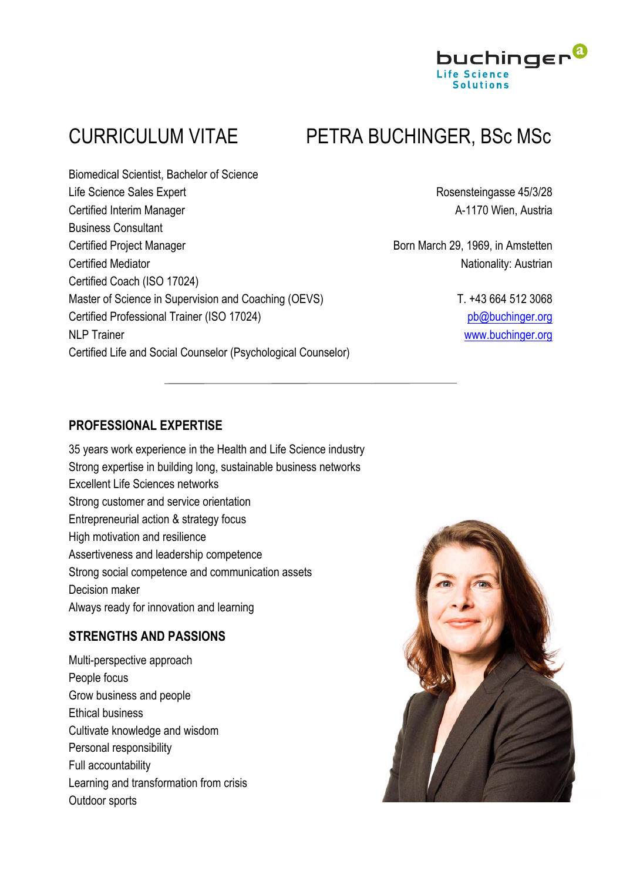

# CURRICULUM VITAE PETRA BUCHINGER, BSc MSc

Biomedical Scientist, Bachelor of Science Life Science Sales Expert **Rosensteingasse 45/3/28** Certified Interim Manager **A-1170 Wien, Austria** Business Consultant Certified Project Manager **Born March 29, 1969**, in Amstetten Certified Mediator **Nationality:** Austrian Certified Coach (ISO 17024) Master of Science in Supervision and Coaching (OEVS) T. +43 664 512 3068 Certified Professional Trainer (ISO 17024) pb@buchinger.org NLP Trainer www.buchinger.org Certified Life and Social Counselor (Psychological Counselor)

## **PROFESSIONAL EXPERTISE**

35 years work experience in the Health and Life Science industry Strong expertise in building long, sustainable business networks Excellent Life Sciences networks Strong customer and service orientation Entrepreneurial action & strategy focus High motivation and resilience Assertiveness and leadership competence Strong social competence and communication assets Decision maker Always ready for innovation and learning

### **STRENGTHS AND PASSIONS**

Multi-perspective approach People focus Grow business and people Ethical business Cultivate knowledge and wisdom Personal responsibility Full accountability Learning and transformation from crisis Outdoor sports

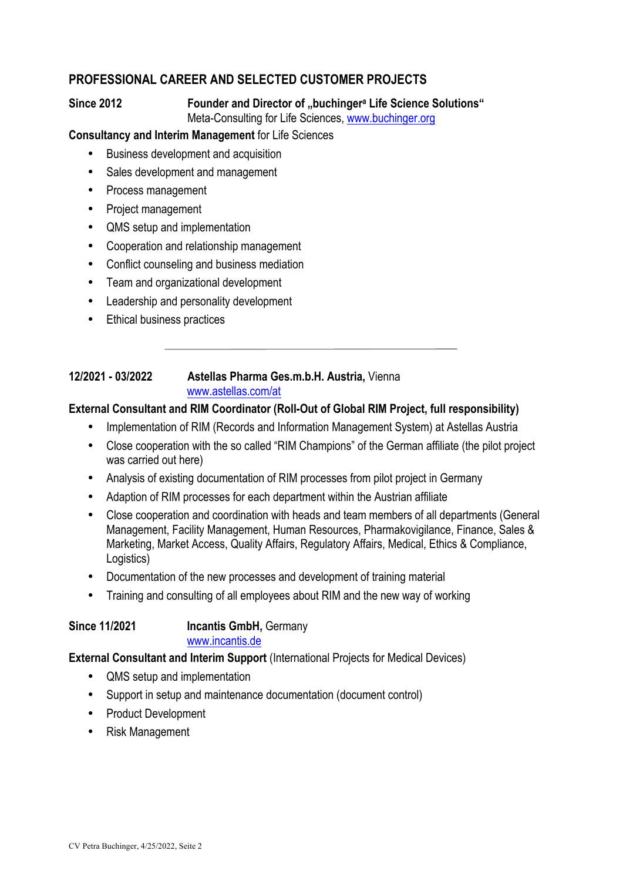# **PROFESSIONAL CAREER AND SELECTED CUSTOMER PROJECTS**

#### **Since 2012 Founder and Director of "buchingera Life Science Solutions"** Meta-Consulting for Life Sciences, www.buchinger.org

#### **Consultancy and Interim Management** for Life Sciences

- Business development and acquisition
- Sales development and management
- Process management
- Project management
- QMS setup and implementation
- Cooperation and relationship management
- Conflict counseling and business mediation
- Team and organizational development
- Leadership and personality development
- Ethical business practices

#### **12/2021 - 03/2022 Astellas Pharma Ges.m.b.H. Austria,** Vienna www.astellas.com/at

#### **External Consultant and RIM Coordinator (Roll-Out of Global RIM Project, full responsibility)**

- Implementation of RIM (Records and Information Management System) at Astellas Austria
- Close cooperation with the so called "RIM Champions" of the German affiliate (the pilot project was carried out here)
- Analysis of existing documentation of RIM processes from pilot project in Germany
- Adaption of RIM processes for each department within the Austrian affiliate
- Close cooperation and coordination with heads and team members of all departments (General Management, Facility Management, Human Resources, Pharmakovigilance, Finance, Sales & Marketing, Market Access, Quality Affairs, Regulatory Affairs, Medical, Ethics & Compliance, Logistics)
- Documentation of the new processes and development of training material
- Training and consulting of all employees about RIM and the new way of working

**Since 11/2021 Incantis GmbH,** Germany

#### www.incantis.de

#### **External Consultant and Interim Support** (International Projects for Medical Devices)

- QMS setup and implementation
- Support in setup and maintenance documentation (document control)
- Product Development
- Risk Management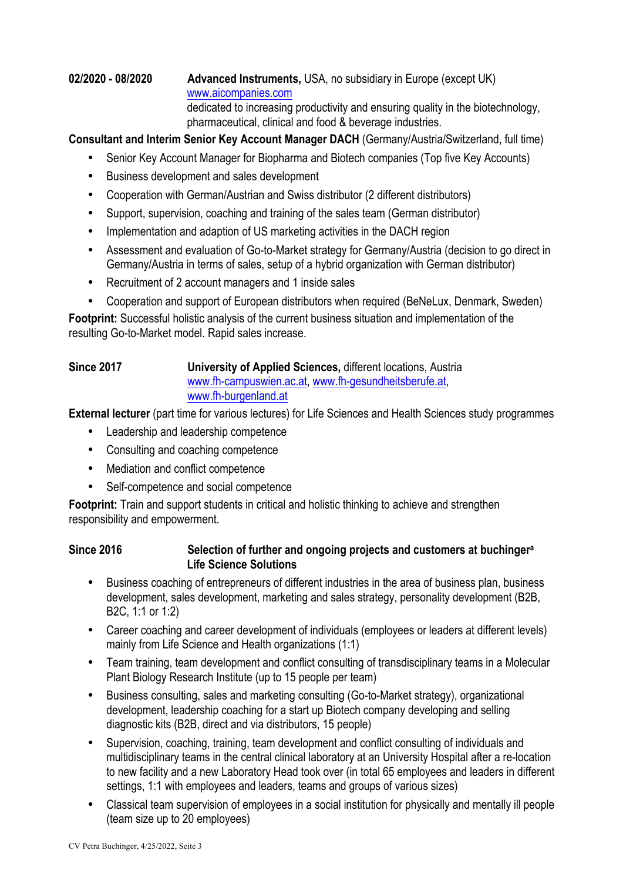#### **02/2020 - 08/2020 Advanced Instruments,** USA, no subsidiary in Europe (except UK) www.aicompanies.com dedicated to increasing productivity and ensuring quality in the biotechnology, pharmaceutical, clinical and food & beverage industries.

**Consultant and Interim Senior Key Account Manager DACH** (Germany/Austria/Switzerland, full time)

- Senior Key Account Manager for Biopharma and Biotech companies (Top five Key Accounts)
- Business development and sales development
- Cooperation with German/Austrian and Swiss distributor (2 different distributors)
- Support, supervision, coaching and training of the sales team (German distributor)
- Implementation and adaption of US marketing activities in the DACH region
- Assessment and evaluation of Go-to-Market strategy for Germany/Austria (decision to go direct in Germany/Austria in terms of sales, setup of a hybrid organization with German distributor)
- Recruitment of 2 account managers and 1 inside sales
- Cooperation and support of European distributors when required (BeNeLux, Denmark, Sweden)

**Footprint:** Successful holistic analysis of the current business situation and implementation of the resulting Go-to-Market model. Rapid sales increase.

#### **Since 2017 University of Applied Sciences,** different locations, Austria www.fh-campuswien.ac.at, www.fh-gesundheitsberufe.at, www.fh-burgenland.at

**External lecturer** (part time for various lectures) for Life Sciences and Health Sciences study programmes

- Leadership and leadership competence
- Consulting and coaching competence
- Mediation and conflict competence
- Self-competence and social competence

**Footprint:** Train and support students in critical and holistic thinking to achieve and strengthen responsibility and empowerment.

#### **Since 2016 Selection of further and ongoing projects and customers at buchingera Life Science Solutions**

- Business coaching of entrepreneurs of different industries in the area of business plan, business development, sales development, marketing and sales strategy, personality development (B2B, B2C, 1:1 or 1:2)
- Career coaching and career development of individuals (employees or leaders at different levels) mainly from Life Science and Health organizations (1:1)
- Team training, team development and conflict consulting of transdisciplinary teams in a Molecular Plant Biology Research Institute (up to 15 people per team)
- Business consulting, sales and marketing consulting (Go-to-Market strategy), organizational development, leadership coaching for a start up Biotech company developing and selling diagnostic kits (B2B, direct and via distributors, 15 people)
- Supervision, coaching, training, team development and conflict consulting of individuals and multidisciplinary teams in the central clinical laboratory at an University Hospital after a re-location to new facility and a new Laboratory Head took over (in total 65 employees and leaders in different settings, 1:1 with employees and leaders, teams and groups of various sizes)
- Classical team supervision of employees in a social institution for physically and mentally ill people (team size up to 20 employees)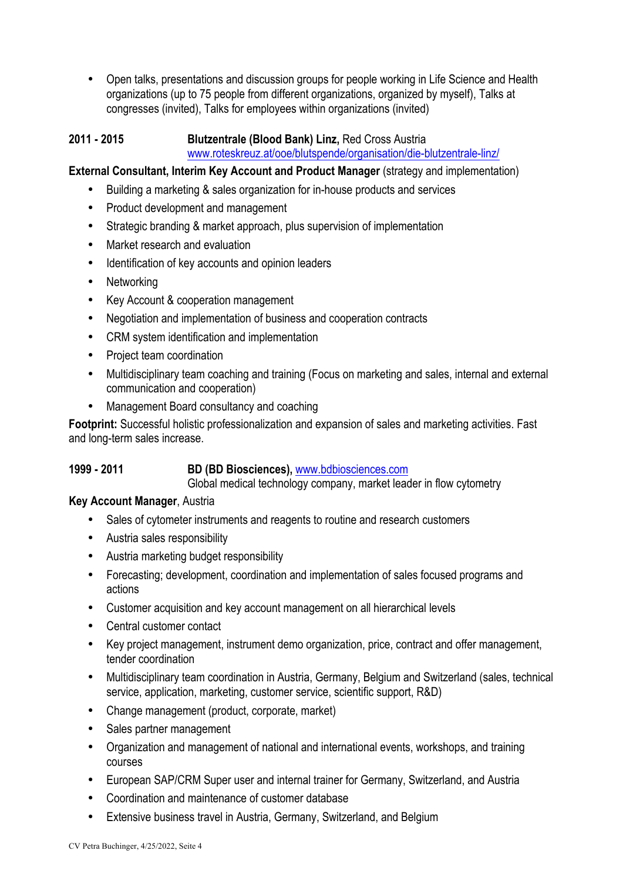• Open talks, presentations and discussion groups for people working in Life Science and Health organizations (up to 75 people from different organizations, organized by myself), Talks at congresses (invited), Talks for employees within organizations (invited)

#### **2011 - 2015 Blutzentrale (Blood Bank) Linz,** Red Cross Austria www.roteskreuz.at/ooe/blutspende/organisation/die-blutzentrale-linz/

#### **External Consultant, Interim Key Account and Product Manager** (strategy and implementation)

- Building a marketing & sales organization for in-house products and services
- Product development and management
- Strategic branding & market approach, plus supervision of implementation
- Market research and evaluation
- Identification of key accounts and opinion leaders
- **Networking**
- Key Account & cooperation management
- Negotiation and implementation of business and cooperation contracts
- CRM system identification and implementation
- Project team coordination
- Multidisciplinary team coaching and training (Focus on marketing and sales, internal and external communication and cooperation)
- Management Board consultancy and coaching

**Footprint:** Successful holistic professionalization and expansion of sales and marketing activities. Fast and long-term sales increase.

#### **1999 - 2011 BD (BD Biosciences),** www.bdbiosciences.com

Global medical technology company, market leader in flow cytometry

#### **Key Account Manager**, Austria

- Sales of cytometer instruments and reagents to routine and research customers
- Austria sales responsibility
- Austria marketing budget responsibility
- Forecasting; development, coordination and implementation of sales focused programs and actions
- Customer acquisition and key account management on all hierarchical levels
- Central customer contact
- Key project management, instrument demo organization, price, contract and offer management, tender coordination
- Multidisciplinary team coordination in Austria, Germany, Belgium and Switzerland (sales, technical service, application, marketing, customer service, scientific support, R&D)
- Change management (product, corporate, market)
- Sales partner management
- Organization and management of national and international events, workshops, and training courses
- European SAP/CRM Super user and internal trainer for Germany, Switzerland, and Austria
- Coordination and maintenance of customer database
- Extensive business travel in Austria, Germany, Switzerland, and Belgium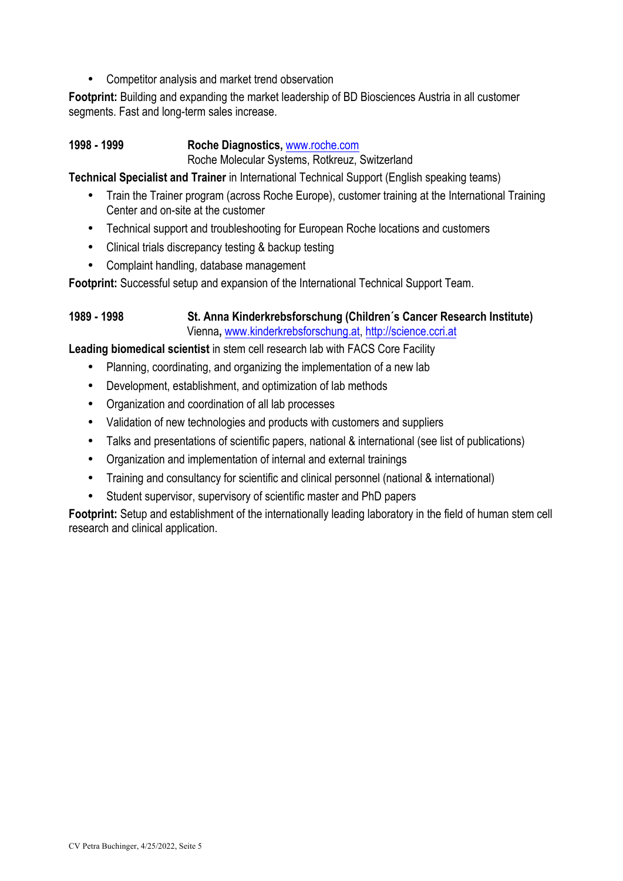• Competitor analysis and market trend observation

**Footprint:** Building and expanding the market leadership of BD Biosciences Austria in all customer segments. Fast and long-term sales increase.

#### **1998 - 1999 Roche Diagnostics,** www.roche.com

Roche Molecular Systems, Rotkreuz, Switzerland

**Technical Specialist and Trainer** in International Technical Support (English speaking teams)

- Train the Trainer program (across Roche Europe), customer training at the International Training Center and on-site at the customer
- Technical support and troubleshooting for European Roche locations and customers
- Clinical trials discrepancy testing & backup testing
- Complaint handling, database management

**Footprint:** Successful setup and expansion of the International Technical Support Team.

### **1989 - 1998 St. Anna Kinderkrebsforschung (Children´s Cancer Research Institute)** Vienna**,** www.kinderkrebsforschung.at, http://science.ccri.at

**Leading biomedical scientist** in stem cell research lab with FACS Core Facility

- Planning, coordinating, and organizing the implementation of a new lab
- Development, establishment, and optimization of lab methods
- Organization and coordination of all lab processes
- Validation of new technologies and products with customers and suppliers
- Talks and presentations of scientific papers, national & international (see list of publications)
- Organization and implementation of internal and external trainings
- Training and consultancy for scientific and clinical personnel (national & international)
- Student supervisor, supervisory of scientific master and PhD papers

**Footprint:** Setup and establishment of the internationally leading laboratory in the field of human stem cell research and clinical application.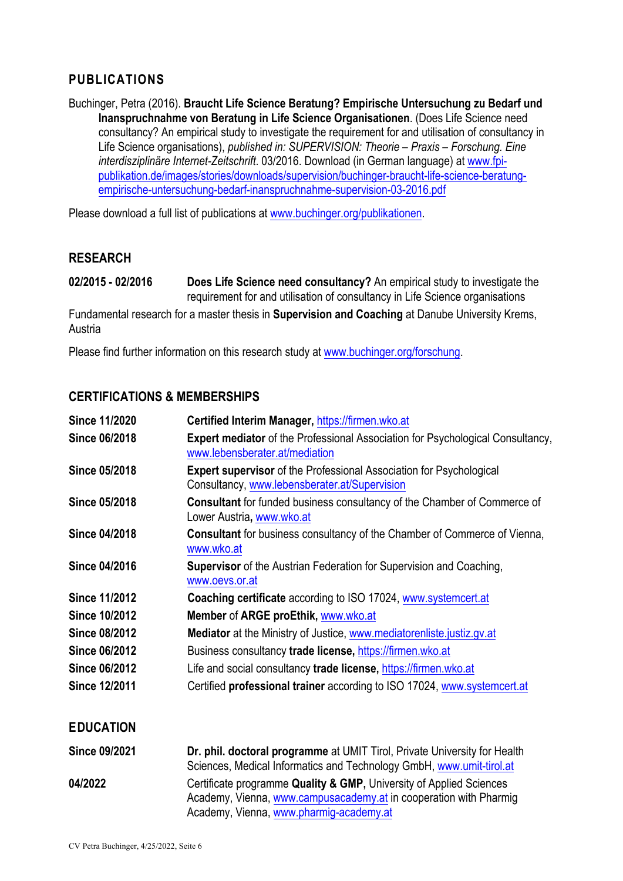# **PUBLICATIONS**

Buchinger, Petra (2016). **Braucht Life Science Beratung? Empirische Untersuchung zu Bedarf und Inanspruchnahme von Beratung in Life Science Organisationen**. (Does Life Science need consultancy? An empirical study to investigate the requirement for and utilisation of consultancy in Life Science organisations), *published in: SUPERVISION: Theorie – Praxis – Forschung. Eine interdisziplinäre Internet-Zeitschrift*. 03/2016. Download (in German language) at www.fpipublikation.de/images/stories/downloads/supervision/buchinger-braucht-life-science-beratungempirische-untersuchung-bedarf-inanspruchnahme-supervision-03-2016.pdf

Please download a full list of publications at www.buchinger.org/publikationen.

#### **RESEARCH**

**02/2015 - 02/2016 Does Life Science need consultancy?** An empirical study to investigate the requirement for and utilisation of consultancy in Life Science organisations

Fundamental research for a master thesis in **Supervision and Coaching** at Danube University Krems, Austria

Please find further information on this research study at www.buchinger.org/forschung.

### **CERTIFICATIONS & MEMBERSHIPS**

| <b>Since 11/2020</b> | Certified Interim Manager, https://firmen.wko.at                                                                            |
|----------------------|-----------------------------------------------------------------------------------------------------------------------------|
| <b>Since 06/2018</b> | <b>Expert mediator</b> of the Professional Association for Psychological Consultancy,<br>www.lebensberater.at/mediation     |
| <b>Since 05/2018</b> | <b>Expert supervisor</b> of the Professional Association for Psychological<br>Consultancy, www.lebensberater.at/Supervision |
| <b>Since 05/2018</b> | <b>Consultant</b> for funded business consultancy of the Chamber of Commerce of<br>Lower Austria, www.wko.at                |
| <b>Since 04/2018</b> | <b>Consultant</b> for business consultancy of the Chamber of Commerce of Vienna,<br>www.wko.at                              |
| Since 04/2016        | <b>Supervisor</b> of the Austrian Federation for Supervision and Coaching,<br>www.oevs.or.at                                |
| <b>Since 11/2012</b> | <b>Coaching certificate</b> according to ISO 17024, www.systemcert.at                                                       |
| <b>Since 10/2012</b> | Member of ARGE proEthik, www.wko.at                                                                                         |
| <b>Since 08/2012</b> | Mediator at the Ministry of Justice, www.mediatorenliste.justiz.gv.at                                                       |
| <b>Since 06/2012</b> | Business consultancy trade license, https://firmen.wko.at                                                                   |
| <b>Since 06/2012</b> | Life and social consultancy trade license, https://firmen.wko.at                                                            |
| <b>Since 12/2011</b> | Certified professional trainer according to ISO 17024, www.systemcert.at                                                    |
| <b>EDUCATION</b>     |                                                                                                                             |

| <b>Since 09/2021</b> | Dr. phil. doctoral programme at UMIT Tirol, Private University for Health                                                                                                           |
|----------------------|-------------------------------------------------------------------------------------------------------------------------------------------------------------------------------------|
|                      | Sciences, Medical Informatics and Technology GmbH, www.umit-tirol.at                                                                                                                |
| 04/2022              | Certificate programme Quality & GMP, University of Applied Sciences<br>Academy, Vienna, www.campusacademy.at in cooperation with Pharmig<br>Academy, Vienna, www.pharmig-academy.at |